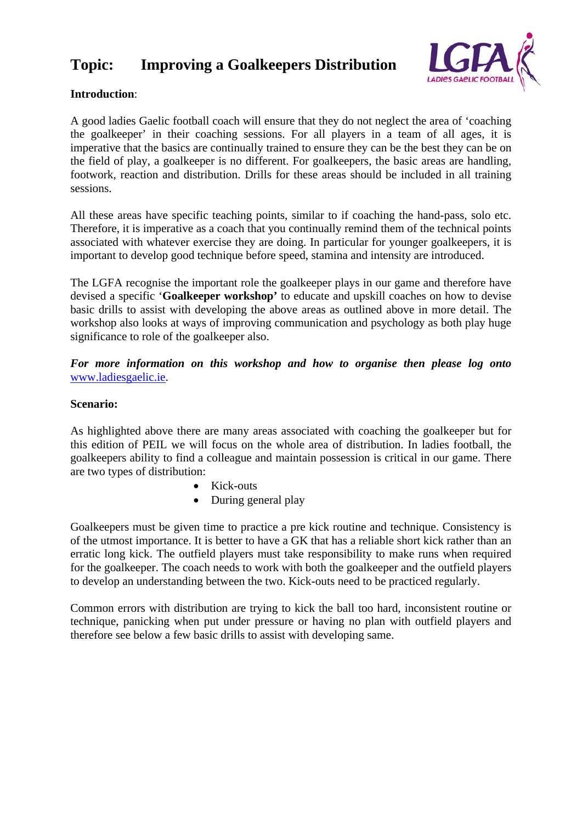# **Topic: Improving a Goalkeepers Distribution**



# **Introduction**:

A good ladies Gaelic football coach will ensure that they do not neglect the area of 'coaching the goalkeeper' in their coaching sessions. For all players in a team of all ages, it is imperative that the basics are continually trained to ensure they can be the best they can be on the field of play, a goalkeeper is no different. For goalkeepers, the basic areas are handling, footwork, reaction and distribution. Drills for these areas should be included in all training sessions.

All these areas have specific teaching points, similar to if coaching the hand-pass, solo etc. Therefore, it is imperative as a coach that you continually remind them of the technical points associated with whatever exercise they are doing. In particular for younger goalkeepers, it is important to develop good technique before speed, stamina and intensity are introduced.

The LGFA recognise the important role the goalkeeper plays in our game and therefore have devised a specific '**Goalkeeper workshop'** to educate and upskill coaches on how to devise basic drills to assist with developing the above areas as outlined above in more detail. The workshop also looks at ways of improving communication and psychology as both play huge significance to role of the goalkeeper also.

*For more information on this workshop and how to organise then please log onto*  www.ladiesgaelic.ie.

#### **Scenario:**

As highlighted above there are many areas associated with coaching the goalkeeper but for this edition of PEIL we will focus on the whole area of distribution. In ladies football, the goalkeepers ability to find a colleague and maintain possession is critical in our game. There are two types of distribution:

- Kick-outs
- During general play

Goalkeepers must be given time to practice a pre kick routine and technique. Consistency is of the utmost importance. It is better to have a GK that has a reliable short kick rather than an erratic long kick. The outfield players must take responsibility to make runs when required for the goalkeeper. The coach needs to work with both the goalkeeper and the outfield players to develop an understanding between the two. Kick-outs need to be practiced regularly.

Common errors with distribution are trying to kick the ball too hard, inconsistent routine or technique, panicking when put under pressure or having no plan with outfield players and therefore see below a few basic drills to assist with developing same.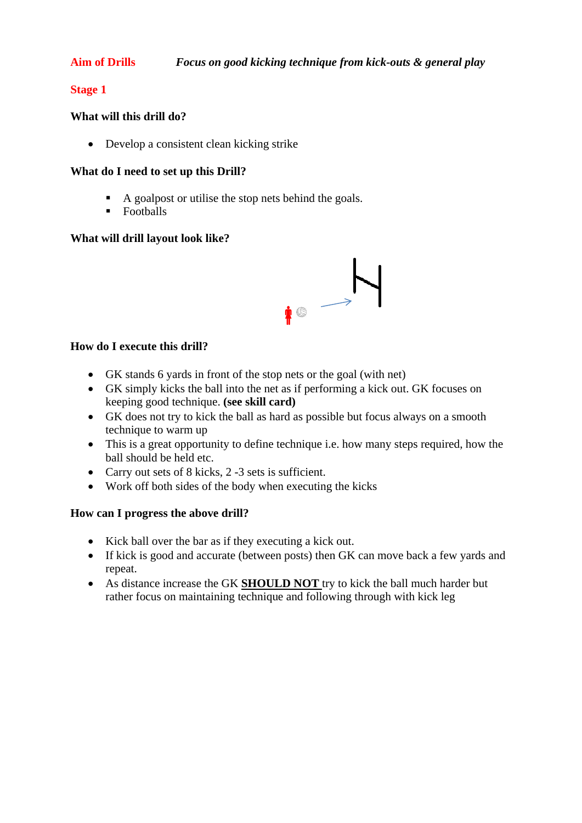### **Stage 1**

#### **What will this drill do?**

Develop a consistent clean kicking strike

#### **What do I need to set up this Drill?**

- A goalpost or utilise the stop nets behind the goals.
- $\blacksquare$  Footballs

#### **What will drill layout look like?**



#### **How do I execute this drill?**

- GK stands 6 yards in front of the stop nets or the goal (with net)
- GK simply kicks the ball into the net as if performing a kick out. GK focuses on keeping good technique. **(see skill card)**
- GK does not try to kick the ball as hard as possible but focus always on a smooth technique to warm up
- This is a great opportunity to define technique i.e. how many steps required, how the ball should be held etc.
- Carry out sets of 8 kicks, 2 -3 sets is sufficient.
- Work off both sides of the body when executing the kicks

### **How can I progress the above drill?**

- Kick ball over the bar as if they executing a kick out.
- If kick is good and accurate (between posts) then GK can move back a few yards and repeat.
- As distance increase the GK **SHOULD NOT** try to kick the ball much harder but rather focus on maintaining technique and following through with kick leg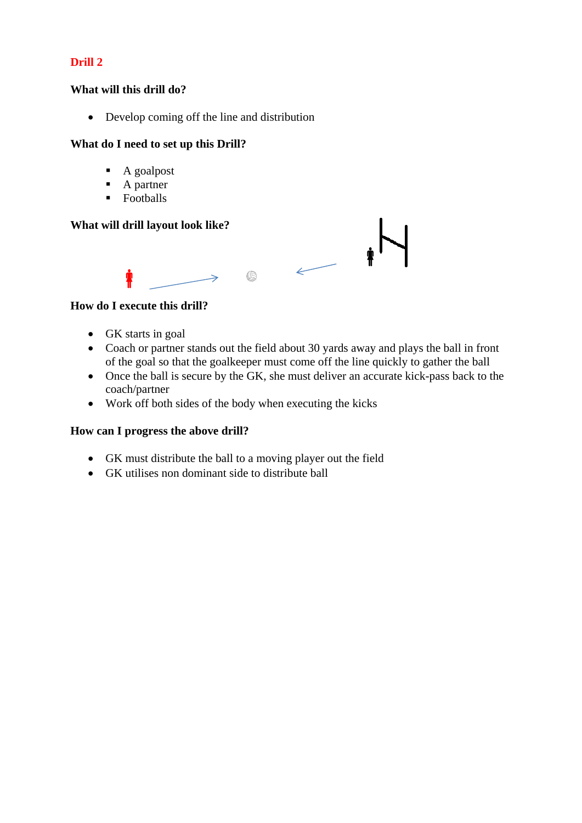# **Drill 2**

#### **What will this drill do?**

• Develop coming off the line and distribution

#### **What do I need to set up this Drill?**

- $\blacksquare$  A goalpost
- A partner
- **Footballs**

## **What will drill layout look like?**



#### **How do I execute this drill?**

- GK starts in goal
- Coach or partner stands out the field about 30 yards away and plays the ball in front of the goal so that the goalkeeper must come off the line quickly to gather the ball
- Once the ball is secure by the GK, she must deliver an accurate kick-pass back to the coach/partner
- Work off both sides of the body when executing the kicks

### **How can I progress the above drill?**

- GK must distribute the ball to a moving player out the field
- GK utilises non dominant side to distribute ball